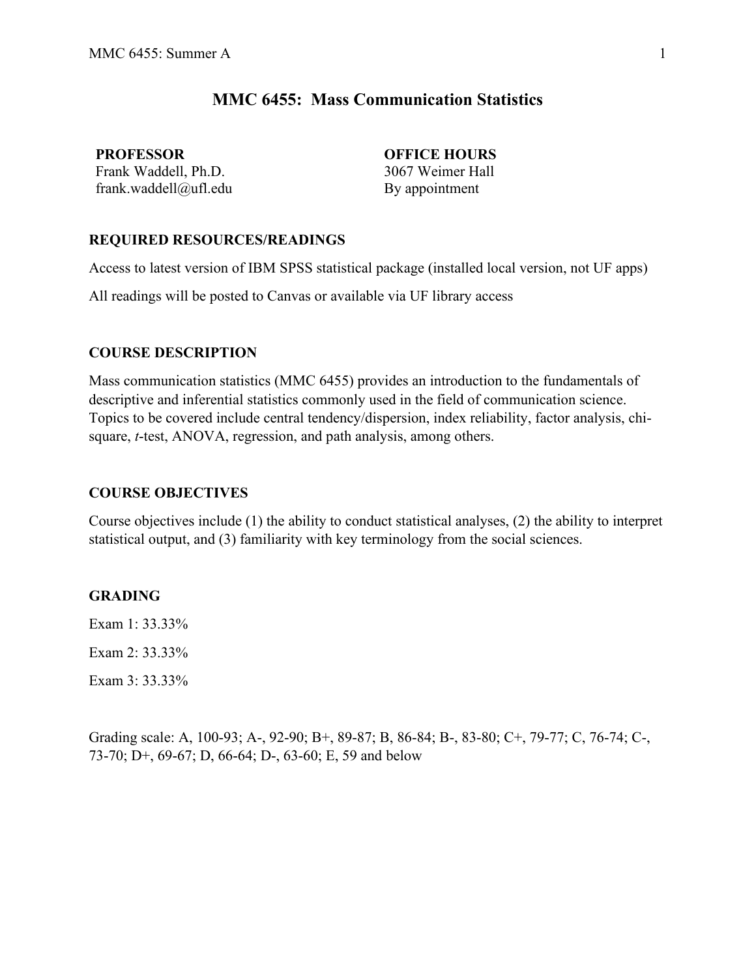# **MMC 6455: Mass Communication Statistics**

**PROFESSOR OFFICE HOURS** Frank Waddell, Ph.D. 3067 Weimer Hall frank.waddell@ufl.edu By appointment

# **REQUIRED RESOURCES/READINGS**

Access to latest version of IBM SPSS statistical package (installed local version, not UF apps)

All readings will be posted to Canvas or available via UF library access

# **COURSE DESCRIPTION**

Mass communication statistics (MMC 6455) provides an introduction to the fundamentals of descriptive and inferential statistics commonly used in the field of communication science. Topics to be covered include central tendency/dispersion, index reliability, factor analysis, chisquare, *t*-test, ANOVA, regression, and path analysis, among others.

## **COURSE OBJECTIVES**

Course objectives include (1) the ability to conduct statistical analyses, (2) the ability to interpret statistical output, and (3) familiarity with key terminology from the social sciences.

#### **GRADING**

Exam 1: 33.33%

Exam 2: 33.33%

Exam 3: 33.33%

Grading scale: A, 100-93; A-, 92-90; B+, 89-87; B, 86-84; B-, 83-80; C+, 79-77; C, 76-74; C-, 73-70; D+, 69-67; D, 66-64; D-, 63-60; E, 59 and below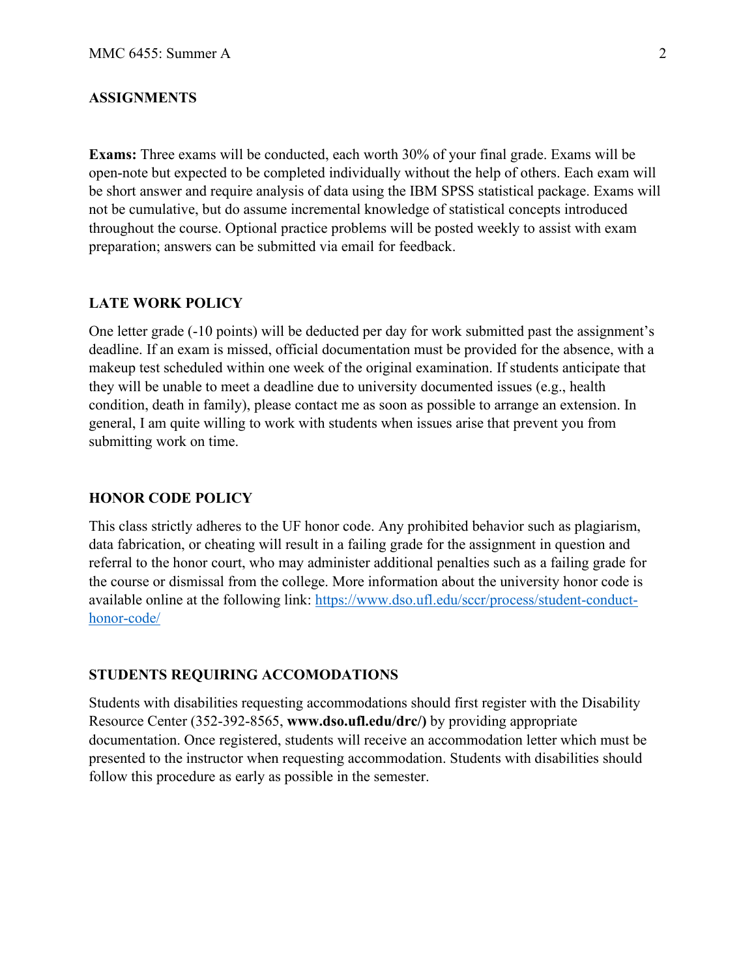### **ASSIGNMENTS**

**Exams:** Three exams will be conducted, each worth 30% of your final grade. Exams will be open-note but expected to be completed individually without the help of others. Each exam will be short answer and require analysis of data using the IBM SPSS statistical package. Exams will not be cumulative, but do assume incremental knowledge of statistical concepts introduced throughout the course. Optional practice problems will be posted weekly to assist with exam preparation; answers can be submitted via email for feedback.

#### **LATE WORK POLICY**

One letter grade (-10 points) will be deducted per day for work submitted past the assignment's deadline. If an exam is missed, official documentation must be provided for the absence, with a makeup test scheduled within one week of the original examination. If students anticipate that they will be unable to meet a deadline due to university documented issues (e.g., health condition, death in family), please contact me as soon as possible to arrange an extension. In general, I am quite willing to work with students when issues arise that prevent you from submitting work on time.

### **HONOR CODE POLICY**

This class strictly adheres to the UF honor code. Any prohibited behavior such as plagiarism, data fabrication, or cheating will result in a failing grade for the assignment in question and referral to the honor court, who may administer additional penalties such as a failing grade for the course or dismissal from the college. More information about the university honor code is available online at the following link: [https://www.dso.ufl.edu/sccr/process/student-conduct](https://www.dso.ufl.edu/sccr/process/student-conduct-honor-code/)[honor-code/](https://www.dso.ufl.edu/sccr/process/student-conduct-honor-code/)

#### **STUDENTS REQUIRING ACCOMODATIONS**

Students with disabilities requesting accommodations should first register with the Disability Resource Center (352-392-8565, **www.dso.ufl.edu/drc/)** by providing appropriate documentation. Once registered, students will receive an accommodation letter which must be presented to the instructor when requesting accommodation. Students with disabilities should follow this procedure as early as possible in the semester.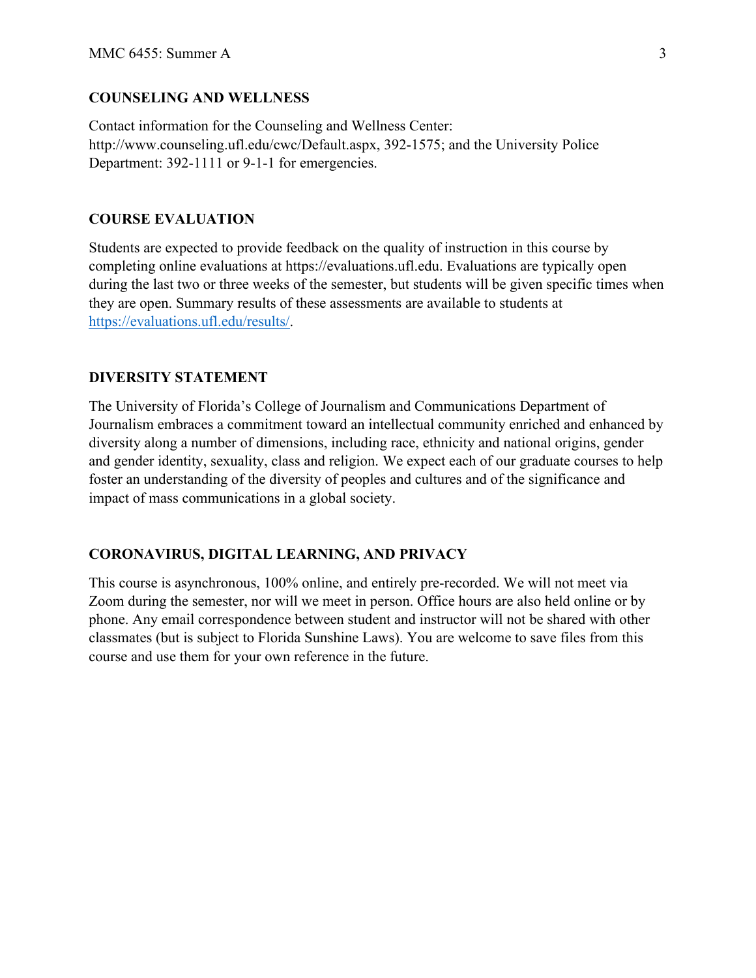# **COUNSELING AND WELLNESS**

Contact information for the Counseling and Wellness Center: http://www.counseling.ufl.edu/cwc/Default.aspx, 392-1575; and the University Police Department: 392-1111 or 9-1-1 for emergencies.

### **COURSE EVALUATION**

Students are expected to provide feedback on the quality of instruction in this course by completing online evaluations at https://evaluations.ufl.edu. Evaluations are typically open during the last two or three weeks of the semester, but students will be given specific times when they are open. Summary results of these assessments are available to students at [https://evaluations.ufl.edu/results/.](https://evaluations.ufl.edu/results/)

#### **DIVERSITY STATEMENT**

The University of Florida's College of Journalism and Communications Department of Journalism embraces a commitment toward an intellectual community enriched and enhanced by diversity along a number of dimensions, including race, ethnicity and national origins, gender and gender identity, sexuality, class and religion. We expect each of our graduate courses to help foster an understanding of the diversity of peoples and cultures and of the significance and impact of mass communications in a global society.

### **CORONAVIRUS, DIGITAL LEARNING, AND PRIVACY**

This course is asynchronous, 100% online, and entirely pre-recorded. We will not meet via Zoom during the semester, nor will we meet in person. Office hours are also held online or by phone. Any email correspondence between student and instructor will not be shared with other classmates (but is subject to Florida Sunshine Laws). You are welcome to save files from this course and use them for your own reference in the future.